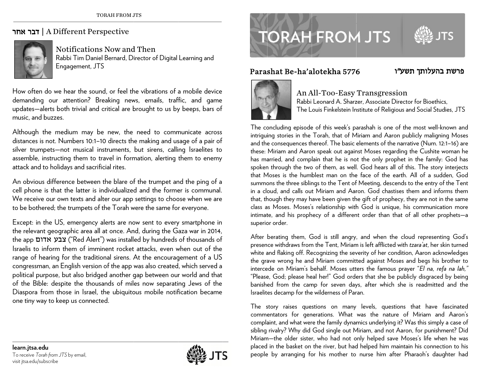## ד**בר אחר |** A Different Perspective



Notifications Now and Then Rabbi Tim D Daniel Bernard, D irector of Digital Learning and Engagement t, JTS

How often do we hear the sound, or feel the vibrations of a mobile device demanding our attention? ? Breaking ne w ws, emails, traf ffic, and game updates—alerts both trivial and critical are brought to us by beeps, bars of music, and buzzes.

Although the medium may be new, the need to communicate across distances is not. Numbers 10:1–10 directs the making and usage of a pair of silver trum p pets—not music al instruments, but sirens, calli ng Israelites to assemble, instructing them to travel in formation, alerting them to enemy attack and t to holidays and sa acrificial rites.

An obvious difference between the blare of the trumpet and the ping of a cell phone is that the latter is individualized and the former is communal. We receive our own texts and alter our app settings to choose when we are to be bothered; the trumpets of the Torah were the same for everyone.

Except: in the US, emergency alerts are now sent to every smartphone in the relevant geographic area all at once. And, during the Gaza war in 2014, the app **צבע אדום (**"Red Alert") was installed by hundreds of thousands of lsraelis to inform them of imminent rocket attacks, even when out of the range of hearing for the traditional sirens. At the encouragement of a US congressman, an English version of the app was also created, which served a political purpose, but also bridged another gap between our world and that of the Bible: despite the thousands of miles now separating Jews of the Diaspora from those in Israel, the ubiquitous mobile notification became one tiny way to keep us connected.

**TORAH FROM JTS** 

## Parashat Be-ha'alotekha 5776



## ha'alotekha 5776<br>An All-Too-Easy Transgression

Rabbi Leonard A. Sharzer, Associate Director for Bioethics, The Louis Finkelstein Institute of Religious and Social Studies, JTS

בהעלותך תשע פרשת

The concluding episode of this week's parashah is one of the most well-known and intriguing stories in the Torah, that of Miriam and Aaron publicly maligning Moses and the consequences thereof. The basic elements of the narrative (Num. 12:1–16) are these: Miriam and Aaron speak out against Moses regarding the Cushite woman he has married, and complain that he is not the only prophet in the family: God has spoken through the two of them, as well. God hears all of this. The story interjects that Moses is the humblest man on the face of the earth. All of a sudden, God summons the three siblings to the Tent of Meeting, descends to the entry of the Tent in a cloud, and calls out Miriam and Aaron. God chastises them and informs them that, though they may have been given the gift of prophecy, they are not in the same class as Moses. Moses's relationship with God is unique, his communication more intimate, and his prophecy of a different order than that of all other prophets—a superior order.

After berating them, G God is still angry, , and when the cloud representin ng God's presence withdraws from the Tent, Miriam is left afflicted with *tzara'at*, her skin turned white and flaking off. Recognizing the severity of her condition, Aaron acknowledges the grave wrong he and Miriam committed against Moses and begs his brother to intercede on Miriam's behalf. Moses utters the famous prayer "*El na, refa na lah,"* "Please, God; please heal her!" God orders that she be publicly disgraced by being banished from the camp for seven days, after which she is readmitted and the Israelites decamp for the wilderness of Paran.

The story raises questions on many levels, questions that have fascinated commentators for generations. What was the nature of Miriam and Aaron's complaint, and what were the family dynamics underlying it? Was this simply a case of sibling rivalry? Why did God single out M Miriam, and not Aa aron, for punish m ment? Did Miriam—the older sister, who had not only helped save Moses's life when he was placed in the basket on the river, but had helped him maintain his connection to his people by arranging for his mother to nurse him after Pharaoh's daughter had